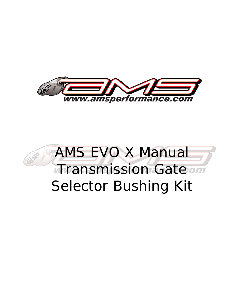

## AMS EVO X Manual **Transmission Gate on** Selector Bushing Kit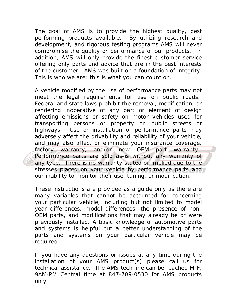The goal of AMS is to provide the highest quality, best performing products available. By utilizing research and development, and rigorous testing programs AMS will never compromise the quality or performance of our products. In addition, AMS will only provide the finest customer service offering only parts and advice that are in the best interests of the customer. AMS was built on a foundation of integrity. This is who we are; this is what you can count on.

A vehicle modified by the use of performance parts may not meet the legal requirements for use on public roads. Federal and state laws prohibit the removal, modification, or rendering inoperative of any part or element of design affecting emissions or safety on motor vehicles used for transporting persons or property on public streets or highways. Use or installation of performance parts may adversely affect the drivability and reliability of your vehicle, and may also affect or eliminate your insurance coverage, factory warranty, and/or new OEM part warranty. Performance parts are sold as-is without any warranty of any type. There is no warranty stated or implied due to the stresses placed on your vehicle by performance parts and our inability to monitor their use, tuning, or modification.

These instructions are provided as a guide only as there are many variables that cannot be accounted for concerning your particular vehicle, including but not limited to model year differences, model differences, the presence of non-OEM parts, and modifications that may already be or were previously installed. A basic knowledge of automotive parts and systems is helpful but a better understanding of the parts and systems on your particular vehicle may be required.

If you have any questions or issues at any time during the installation of your AMS product(s) please call us for technical assistance. The AMS tech line can be reached M-F, 9AM-PM Central time at 847-709-0530 for AMS products only.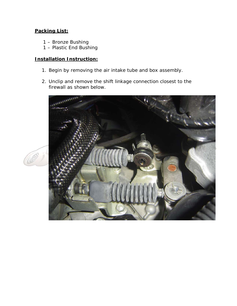## **Packing List:**

- 1 Bronze Bushing
- 1 Plastic End Bushing

## **Installation Instruction:**

- 1. Begin by removing the air intake tube and box assembly.
- 2. Unclip and remove the shift linkage connection closest to the firewall as shown below.



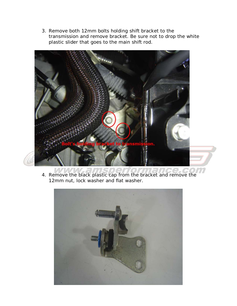3. Remove both 12mm bolts holding shift bracket to the transmission and remove bracket. Be sure not to drop the white plastic slider that goes to the main shift rod.



4. Remove the black plastic cap from the bracket and remove the 12mm nut, lock washer and flat washer.

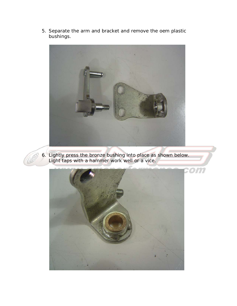5. Separate the arm and bracket and remove the oem plastic bushings.





6. Lightly press the bronze bushing into place as shown below. Light taps with a hammer work well or a vice.